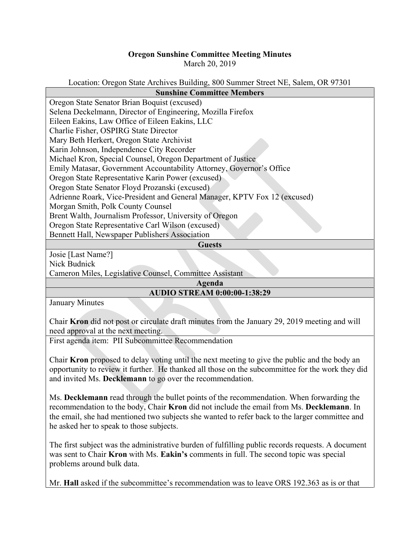## **Oregon Sunshine Committee Meeting Minutes**

March 20, 2019

Location: Oregon State Archives Building, 800 Summer Street NE, Salem, OR 97301

| <b>Sunshine Committee Members</b>                                         |
|---------------------------------------------------------------------------|
| Oregon State Senator Brian Boquist (excused)                              |
| Selena Deckelmann, Director of Engineering, Mozilla Firefox               |
| Eileen Eakins, Law Office of Eileen Eakins, LLC                           |
| Charlie Fisher, OSPIRG State Director                                     |
| Mary Beth Herkert, Oregon State Archivist                                 |
| Karin Johnson, Independence City Recorder                                 |
| Michael Kron, Special Counsel, Oregon Department of Justice               |
| Emily Matasar, Government Accountability Attorney, Governor's Office      |
| Oregon State Representative Karin Power (excused)                         |
| Oregon State Senator Floyd Prozanski (excused)                            |
| Adrienne Roark, Vice-President and General Manager, KPTV Fox 12 (excused) |
| Morgan Smith, Polk County Counsel                                         |
| Brent Walth, Journalism Professor, University of Oregon                   |
| Oregon State Representative Carl Wilson (excused)                         |
| Bennett Hall, Newspaper Publishers Association                            |
| <b>Guests</b>                                                             |
| Josie [Last Name?]                                                        |
| Nick Budnick                                                              |
| Cameron Miles, Legislative Counsel, Committee Assistant                   |

**Agenda AUDIO STREAM 0:00:00-1:38:29**

January Minutes

Chair **Kron** did not post or circulate draft minutes from the January 29, 2019 meeting and will need approval at the next meeting.

First agenda item: PII Subcommittee Recommendation

Chair **Kron** proposed to delay voting until the next meeting to give the public and the body an opportunity to review it further. He thanked all those on the subcommittee for the work they did and invited Ms. **Decklemann** to go over the recommendation.

Ms. **Decklemann** read through the bullet points of the recommendation. When forwarding the recommendation to the body, Chair **Kron** did not include the email from Ms. **Decklemann**. In the email, she had mentioned two subjects she wanted to refer back to the larger committee and he asked her to speak to those subjects.

The first subject was the administrative burden of fulfilling public records requests. A document was sent to Chair **Kron** with Ms. **Eakin's** comments in full. The second topic was special problems around bulk data.

Mr. **Hall** asked if the subcommittee's recommendation was to leave ORS 192.363 as is or that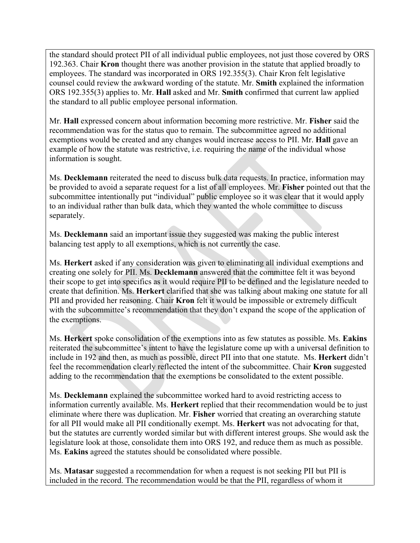the standard should protect PII of all individual public employees, not just those covered by ORS 192.363. Chair **Kron** thought there was another provision in the statute that applied broadly to employees. The standard was incorporated in ORS 192.355(3). Chair Kron felt legislative counsel could review the awkward wording of the statute. Mr. **Smith** explained the information ORS 192.355(3) applies to. Mr. **Hall** asked and Mr. **Smith** confirmed that current law applied the standard to all public employee personal information.

Mr. **Hall** expressed concern about information becoming more restrictive. Mr. **Fisher** said the recommendation was for the status quo to remain. The subcommittee agreed no additional exemptions would be created and any changes would increase access to PII. Mr. **Hall** gave an example of how the statute was restrictive, i.e. requiring the name of the individual whose information is sought.

Ms. **Decklemann** reiterated the need to discuss bulk data requests. In practice, information may be provided to avoid a separate request for a list of all employees. Mr. **Fisher** pointed out that the subcommittee intentionally put "individual" public employee so it was clear that it would apply to an individual rather than bulk data, which they wanted the whole committee to discuss separately.

Ms. **Decklemann** said an important issue they suggested was making the public interest balancing test apply to all exemptions, which is not currently the case.

Ms. **Herkert** asked if any consideration was given to eliminating all individual exemptions and creating one solely for PII. Ms. **Decklemann** answered that the committee felt it was beyond their scope to get into specifics as it would require PII to be defined and the legislature needed to create that definition. Ms. **Herkert** clarified that she was talking about making one statute for all PII and provided her reasoning. Chair **Kron** felt it would be impossible or extremely difficult with the subcommittee's recommendation that they don't expand the scope of the application of the exemptions.

Ms. **Herkert** spoke consolidation of the exemptions into as few statutes as possible. Ms. **Eakins** reiterated the subcommittee's intent to have the legislature come up with a universal definition to include in 192 and then, as much as possible, direct PII into that one statute. Ms. **Herkert** didn't feel the recommendation clearly reflected the intent of the subcommittee. Chair **Kron** suggested adding to the recommendation that the exemptions be consolidated to the extent possible.

Ms. **Decklemann** explained the subcommittee worked hard to avoid restricting access to information currently available. Ms. **Herkert** replied that their recommendation would be to just eliminate where there was duplication. Mr. **Fisher** worried that creating an overarching statute for all PII would make all PII conditionally exempt. Ms. **Herkert** was not advocating for that, but the statutes are currently worded similar but with different interest groups. She would ask the legislature look at those, consolidate them into ORS 192, and reduce them as much as possible. Ms. **Eakins** agreed the statutes should be consolidated where possible.

Ms. **Matasar** suggested a recommendation for when a request is not seeking PII but PII is included in the record. The recommendation would be that the PII, regardless of whom it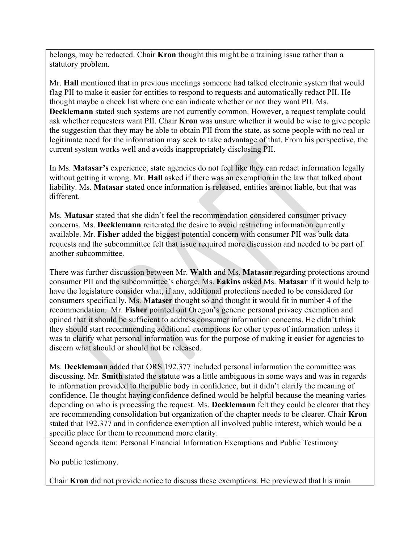belongs, may be redacted. Chair **Kron** thought this might be a training issue rather than a statutory problem.

Mr. **Hall** mentioned that in previous meetings someone had talked electronic system that would flag PII to make it easier for entities to respond to requests and automatically redact PII. He thought maybe a check list where one can indicate whether or not they want PII. Ms. **Decklemann** stated such systems are not currently common. However, a request template could ask whether requesters want PII. Chair **Kron** was unsure whether it would be wise to give people the suggestion that they may be able to obtain PII from the state, as some people with no real or legitimate need for the information may seek to take advantage of that. From his perspective, the current system works well and avoids inappropriately disclosing PII.

In Ms. **Matasar's** experience, state agencies do not feel like they can redact information legally without getting it wrong. Mr. **Hall** asked if there was an exemption in the law that talked about liability. Ms. **Matasar** stated once information is released, entities are not liable, but that was different.

Ms. **Matasar** stated that she didn't feel the recommendation considered consumer privacy concerns. Ms. **Decklemann** reiterated the desire to avoid restricting information currently available. Mr. **Fisher** added the biggest potential concern with consumer PII was bulk data requests and the subcommittee felt that issue required more discussion and needed to be part of another subcommittee.

There was further discussion between Mr. **Walth** and Ms. **Matasar** regarding protections around consumer PII and the subcommittee's charge. Ms. **Eakins** asked Ms. **Matasar** if it would help to have the legislature consider what, if any, additional protections needed to be considered for consumers specifically. Ms. **Mataser** thought so and thought it would fit in number 4 of the recommendation. Mr. **Fisher** pointed out Oregon's generic personal privacy exemption and opined that it should be sufficient to address consumer information concerns. He didn't think they should start recommending additional exemptions for other types of information unless it was to clarify what personal information was for the purpose of making it easier for agencies to discern what should or should not be released.

Ms. **Decklemann** added that ORS 192.377 included personal information the committee was discussing. Mr. **Smith** stated the statute was a little ambiguous in some ways and was in regards to information provided to the public body in confidence, but it didn't clarify the meaning of confidence. He thought having confidence defined would be helpful because the meaning varies depending on who is processing the request. Ms. **Decklemann** felt they could be clearer that they are recommending consolidation but organization of the chapter needs to be clearer. Chair **Kron** stated that 192.377 and in confidence exemption all involved public interest, which would be a specific place for them to recommend more clarity.

Second agenda item: Personal Financial Information Exemptions and Public Testimony

No public testimony.

Chair **Kron** did not provide notice to discuss these exemptions. He previewed that his main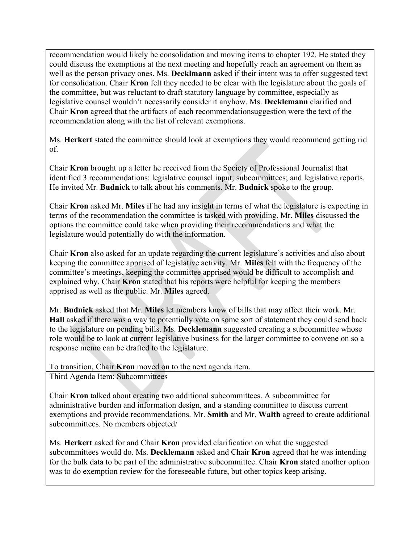recommendation would likely be consolidation and moving items to chapter 192. He stated they could discuss the exemptions at the next meeting and hopefully reach an agreement on them as well as the person privacy ones. Ms. **Decklmann** asked if their intent was to offer suggested text for consolidation. Chair **Kron** felt they needed to be clear with the legislature about the goals of the committee, but was reluctant to draft statutory language by committee, especially as legislative counsel wouldn't necessarily consider it anyhow. Ms. **Decklemann** clarified and Chair **Kron** agreed that the artifacts of each recommendationsuggestion were the text of the recommendation along with the list of relevant exemptions.

Ms. **Herkert** stated the committee should look at exemptions they would recommend getting rid of.

Chair **Kron** brought up a letter he received from the Society of Professional Journalist that identified 3 recommendations: legislative counsel input; subcommittees; and legislative reports. He invited Mr. **Budnick** to talk about his comments. Mr. **Budnick** spoke to the group.

Chair **Kron** asked Mr. **Miles** if he had any insight in terms of what the legislature is expecting in terms of the recommendation the committee is tasked with providing. Mr. **Miles** discussed the options the committee could take when providing their recommendations and what the legislature would potentially do with the information.

Chair **Kron** also asked for an update regarding the current legislature's activities and also about keeping the committee apprised of legislative activity. Mr. **Miles** felt with the frequency of the committee's meetings, keeping the committee apprised would be difficult to accomplish and explained why. Chair **Kron** stated that his reports were helpful for keeping the members apprised as well as the public. Mr. **Miles** agreed.

Mr. **Budnick** asked that Mr. **Miles** let members know of bills that may affect their work. Mr. **Hall** asked if there was a way to potentially vote on some sort of statement they could send back to the legislature on pending bills. Ms. **Decklemann** suggested creating a subcommittee whose role would be to look at current legislative business for the larger committee to convene on so a response memo can be drafted to the legislature.

To transition, Chair **Kron** moved on to the next agenda item. Third Agenda Item: Subcommittees

Chair **Kron** talked about creating two additional subcommittees. A subcommittee for administrative burden and information design, and a standing committee to discuss current exemptions and provide recommendations. Mr. **Smith** and Mr. **Walth** agreed to create additional subcommittees. No members objected/

Ms. **Herkert** asked for and Chair **Kron** provided clarification on what the suggested subcommittees would do. Ms. **Decklemann** asked and Chair **Kron** agreed that he was intending for the bulk data to be part of the administrative subcommittee. Chair **Kron** stated another option was to do exemption review for the foreseeable future, but other topics keep arising.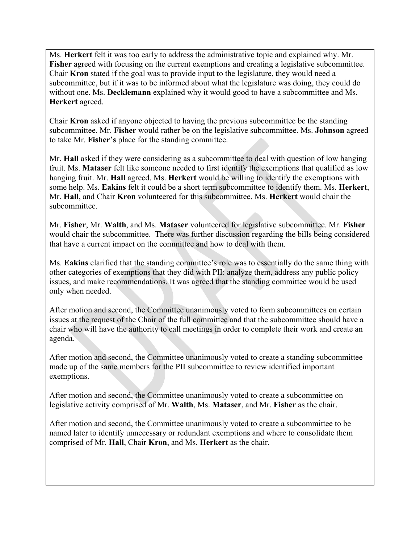Ms. **Herkert** felt it was too early to address the administrative topic and explained why. Mr. **Fisher** agreed with focusing on the current exemptions and creating a legislative subcommittee. Chair **Kron** stated if the goal was to provide input to the legislature, they would need a subcommittee, but if it was to be informed about what the legislature was doing, they could do without one. Ms. **Decklemann** explained why it would good to have a subcommittee and Ms. **Herkert** agreed.

Chair **Kron** asked if anyone objected to having the previous subcommittee be the standing subcommittee. Mr. **Fisher** would rather be on the legislative subcommittee. Ms. **Johnson** agreed to take Mr. **Fisher's** place for the standing committee.

Mr. **Hall** asked if they were considering as a subcommittee to deal with question of low hanging fruit. Ms. **Mataser** felt like someone needed to first identify the exemptions that qualified as low hanging fruit. Mr. **Hall** agreed. Ms. **Herkert** would be willing to identify the exemptions with some help. Ms. **Eakins** felt it could be a short term subcommittee to identify them. Ms. **Herkert**, Mr. **Hall**, and Chair **Kron** volunteered for this subcommittee. Ms. **Herkert** would chair the subcommittee.

Mr. **Fisher**, Mr. **Walth**, and Ms. **Mataser** volunteered for legislative subcommittee. Mr. **Fisher** would chair the subcommittee. There was further discussion regarding the bills being considered that have a current impact on the committee and how to deal with them.

Ms. **Eakins** clarified that the standing committee's role was to essentially do the same thing with other categories of exemptions that they did with PII: analyze them, address any public policy issues, and make recommendations. It was agreed that the standing committee would be used only when needed.

After motion and second, the Committee unanimously voted to form subcommittees on certain issues at the request of the Chair of the full committee and that the subcommittee should have a chair who will have the authority to call meetings in order to complete their work and create an agenda.

After motion and second, the Committee unanimously voted to create a standing subcommittee made up of the same members for the PII subcommittee to review identified important exemptions.

After motion and second, the Committee unanimously voted to create a subcommittee on legislative activity comprised of Mr. **Walth**, Ms. **Mataser**, and Mr. **Fisher** as the chair.

After motion and second, the Committee unanimously voted to create a subcommittee to be named later to identify unnecessary or redundant exemptions and where to consolidate them comprised of Mr. **Hall**, Chair **Kron**, and Ms. **Herkert** as the chair.